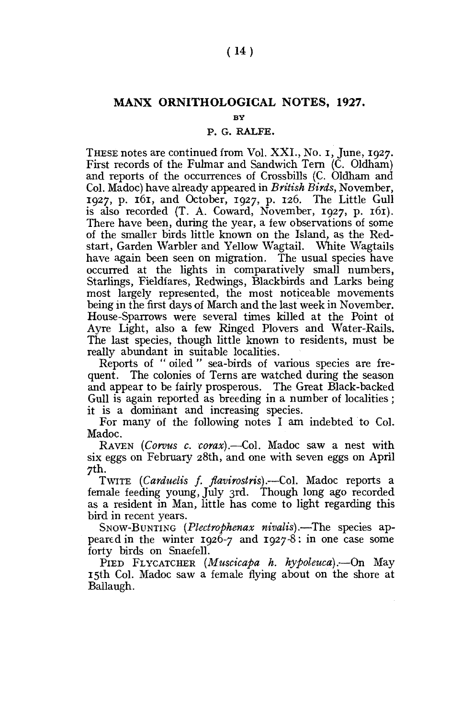## **MANX ORNITHOLOGICAL NOTES, 1927.**

**BY** 

## P. G. RALFE.

THESE notes are continued from Vol. XXL, No. i, June, 1927. First records of the Fulmar and Sandwich Tern (C. Oldham) and reports of the occurrences of Crossbills (C. Oldham and Col. Madoc) have already appeared in *British Birds,* November, 1927, p. 161, and October, 1927, p. 126. The Little Gull is also recorded (T. A. Coward, November, 1927, p. 161). There have been, during the year, a few observations of some of the smaller birds little known on the Island, as the Redstart, Garden Warbler and Yellow Wagtail. White Wagtails have again been seen on migration. The usual species have occurred at the lights in comparatively small numbers, Starlings, Fieldfares, Redwings, Blackbirds and Larks being most largely represented, the most noticeable movements being in the first days of March and the last week in November. House-Sparrows were several times killed at the Point of Ayre Light, also a few Ringed Plovers and Water-Rails. The last species, though little known to residents, must be really abundant in suitable localities.

Reports of " oiled " sea-birds of various species are frequent. The colonies of Terns are watched during the season and appear to be fairly prosperous. The Great Black-backed Gull is again reported as breeding in a number of localities ; it is a dominant and increasing species.

For many of the following notes I am indebted to Col. Madoc.

RAVEN *(Corvus c. corax).*—Col. Madoc saw a nest with six eggs on February 28th, and one with seven eggs on April 7th.

TWITE *(Carduelis* /. *flavirostris).*—Col. Madoc reports a female feeding young, July 3rd. Though long ago recorded as a resident in Man, little has come to light regarding this bird in recent years.

SNOW-BUNTING *(Plectrophenax nivalis).*—The species appeared in the winter 1926-7 and 1927-8: in one case some forty birds on Snaefell.

PIED FLYCATCHER *(Muscicapa h. hypoleuca).*—On May 15th Col. Madoc saw a female flying about on the shore at Ballaugh.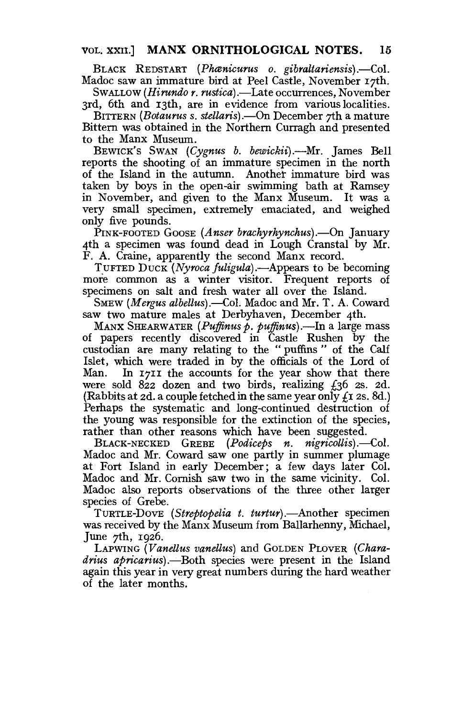## VOL. XXII] **MANX ORNITHOLOGICAL NOTES. 15**

BLACK REDSTART *(Phcenicurus o. gibraltariensis).*—Col. Madoc saw an immature bird at Peel Castle, November 17th.

SWALLOW *(Hirundo r. rustica).*—Late occurrences, November 3rd, 6th and 13th, are in evidence from various localities.

BITTERN *(Botaurus s. stellaris).*—On December 7th a mature Bittern was obtained in the Northern Curragh and presented to the Manx Museum.

BEWICK'S SWAN *(Cygnus b. bewickii).—*Mr. James Bell reports the shooting of an immature specimen in the north of the Island in the autumn. Another immature bird was taken by boys in the open-air swimming bath at Ramsey in November, and given to the Manx Museum. It was a very small specimen, extremely emaciated, and weighed only five pounds.

PINK-FOOTED GOOSE *(Anser brachyrhynchus).*—On January 4th a specimen was found dead in Lough Cranstal by Mr. F. A. Craine, apparently the second Manx record.

TUFTED DUCK *(Nyroca fuligula).—*Appears to be becoming more common as a winter visitor. Frequent reports of specimens on salt and fresh water all over the Island.

SMEW *{Mergus albellus).*—Col. Madoc and Mr. T. A. Coward saw two mature males at Derbyhaven, December 4th.

MANX SHEARWATER (Puffinus p. puffinus).—In a large mass of papers recently discovered in Castle Rushen by the custodian are many relating to the " puffins " of the Calf Islet, which were traded in by the officials of the Lord of Man. In  $171I$  the accounts for the year show that there In 1711 the accounts for the year show that there were sold  $822$  dozen and two birds, realizing  $\ell$ 36 2s. 2d. (Rabbits at 2d. a couple fetched in the same year only *£z* 2s. 8d.) Perhaps the systematic and long-continued destruction of the young was responsible for the extinction of the species, rather than other reasons which have been suggested.

BLACK-NECKED GREBE *(Podiceps n. nigricollis).*—Col. Madoc and Mr. Coward saw one partly in summer plumage at Fort Island in early December; a few days later Col. Madoc and Mr. Cornish saw two in the same vicinity. Col. Madoc also reports observations of the three other larger species of Grebe.

TURTLE-DOVE *(Streptopelia t. turtur).*—Another specimen was received by the Manx Museum from Ballarhenny, Michael, June  $\gamma$ th, 1926.

LAPWING *(Vanellus vanellus)* and GOLDEN PLOVER *(Charadrius apricarius)* .—Both species were present in the Island again this year in very great numbers during the hard weather of the later months.